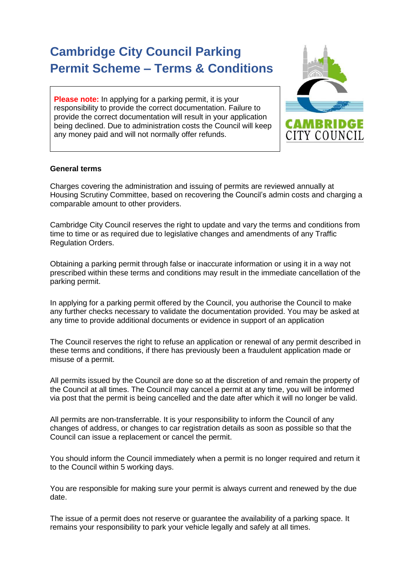# **Cambridge City Council Parking Permit Scheme – Terms & Conditions**

**Please note:** In applying for a parking permit, it is your responsibility to provide the correct documentation. Failure to provide the correct documentation will result in your application being declined. Due to administration costs the Council will keep any money paid and will not normally offer refunds.



## **General terms**

Charges covering the administration and issuing of permits are reviewed annually at Housing Scrutiny Committee, based on recovering the Council's admin costs and charging a comparable amount to other providers.

Cambridge City Council reserves the right to update and vary the terms and conditions from time to time or as required due to legislative changes and amendments of any Traffic Regulation Orders.

Obtaining a parking permit through false or inaccurate information or using it in a way not prescribed within these terms and conditions may result in the immediate cancellation of the parking permit.

In applying for a parking permit offered by the Council, you authorise the Council to make any further checks necessary to validate the documentation provided. You may be asked at any time to provide additional documents or evidence in support of an application

The Council reserves the right to refuse an application or renewal of any permit described in these terms and conditions, if there has previously been a fraudulent application made or misuse of a permit.

All permits issued by the Council are done so at the discretion of and remain the property of the Council at all times. The Council may cancel a permit at any time, you will be informed via post that the permit is being cancelled and the date after which it will no longer be valid.

All permits are non-transferrable. It is your responsibility to inform the Council of any changes of address, or changes to car registration details as soon as possible so that the Council can issue a replacement or cancel the permit.

You should inform the Council immediately when a permit is no longer required and return it to the Council within 5 working days.

You are responsible for making sure your permit is always current and renewed by the due date.

The issue of a permit does not reserve or guarantee the availability of a parking space. It remains your responsibility to park your vehicle legally and safely at all times.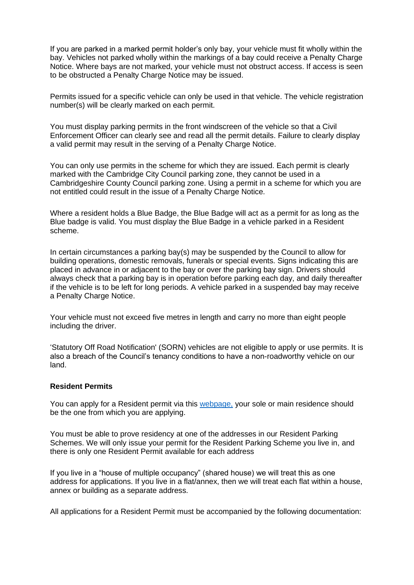If you are parked in a marked permit holder's only bay, your vehicle must fit wholly within the bay. Vehicles not parked wholly within the markings of a bay could receive a Penalty Charge Notice. Where bays are not marked, your vehicle must not obstruct access. If access is seen to be obstructed a Penalty Charge Notice may be issued.

Permits issued for a specific vehicle can only be used in that vehicle. The vehicle registration number(s) will be clearly marked on each permit.

You must display parking permits in the front windscreen of the vehicle so that a Civil Enforcement Officer can clearly see and read all the permit details. Failure to clearly display a valid permit may result in the serving of a Penalty Charge Notice.

You can only use permits in the scheme for which they are issued. Each permit is clearly marked with the Cambridge City Council parking zone, they cannot be used in a Cambridgeshire County Council parking zone. Using a permit in a scheme for which you are not entitled could result in the issue of a Penalty Charge Notice.

Where a resident holds a Blue Badge, the Blue Badge will act as a permit for as long as the Blue badge is valid. You must display the Blue Badge in a vehicle parked in a Resident scheme.

In certain circumstances a parking bay(s) may be suspended by the Council to allow for building operations, domestic removals, funerals or special events. Signs indicating this are placed in advance in or adjacent to the bay or over the parking bay sign. Drivers should always check that a parking bay is in operation before parking each day, and daily thereafter if the vehicle is to be left for long periods. A vehicle parked in a suspended bay may receive a Penalty Charge Notice.

Your vehicle must not exceed five metres in length and carry no more than eight people including the driver.

'Statutory Off Road Notification' (SORN) vehicles are not eligible to apply or use permits. It is also a breach of the Council's tenancy conditions to have a non-roadworthy vehicle on our land.

#### **Resident Permits**

You can apply for a Resident permit via this [webpage,](https://www.cambridge.gov.uk/residents-parking-permits) your sole or main residence should be the one from which you are applying.

You must be able to prove residency at one of the addresses in our Resident Parking Schemes. We will only issue your permit for the Resident Parking Scheme you live in, and there is only one Resident Permit available for each address

If you live in a "house of multiple occupancy" (shared house) we will treat this as one address for applications. If you live in a flat/annex, then we will treat each flat within a house, annex or building as a separate address.

All applications for a Resident Permit must be accompanied by the following documentation: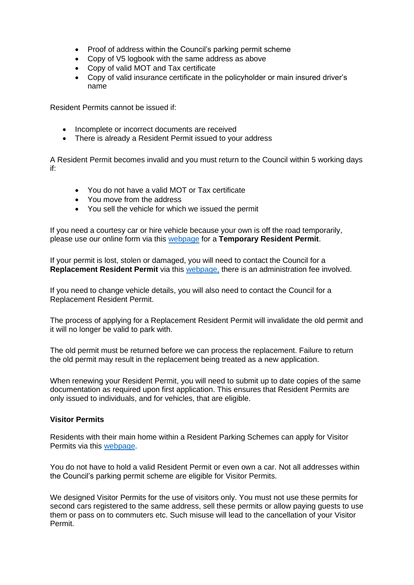- Proof of address within the Council's parking permit scheme
- Copy of V5 logbook with the same address as above
- Copy of valid MOT and Tax certificate
- Copy of valid insurance certificate in the policyholder or main insured driver's name

Resident Permits cannot be issued if:

- Incomplete or incorrect documents are received
- There is already a Resident Permit issued to your address

A Resident Permit becomes invalid and you must return to the Council within 5 working days if:

- You do not have a valid MOT or Tax certificate
- You move from the address
- You sell the vehicle for which we issued the permit

If you need a courtesy car or hire vehicle because your own is off the road temporarily, please use our online form via this [webpage](https://www.cambridge.gov.uk/residents-parking-permits) for a **Temporary Resident Permit**.

If your permit is lost, stolen or damaged, you will need to contact the Council for a **Replacement Resident Permit** via this [webpage,](https://www.cambridge.gov.uk/residents-parking-permits) there is an administration fee involved.

If you need to change vehicle details, you will also need to contact the Council for a Replacement Resident Permit.

The process of applying for a Replacement Resident Permit will invalidate the old permit and it will no longer be valid to park with.

The old permit must be returned before we can process the replacement. Failure to return the old permit may result in the replacement being treated as a new application.

When renewing your Resident Permit, you will need to submit up to date copies of the same documentation as required upon first application. This ensures that Resident Permits are only issued to individuals, and for vehicles, that are eligible.

## **Visitor Permits**

Residents with their main home within a Resident Parking Schemes can apply for Visitor Permits via this [webpage.](https://www.cambridge.gov.uk/residents-parking-permits)

You do not have to hold a valid Resident Permit or even own a car. Not all addresses within the Council's parking permit scheme are eligible for Visitor Permits.

We designed Visitor Permits for the use of visitors only. You must not use these permits for second cars registered to the same address, sell these permits or allow paying guests to use them or pass on to commuters etc. Such misuse will lead to the cancellation of your Visitor Permit.